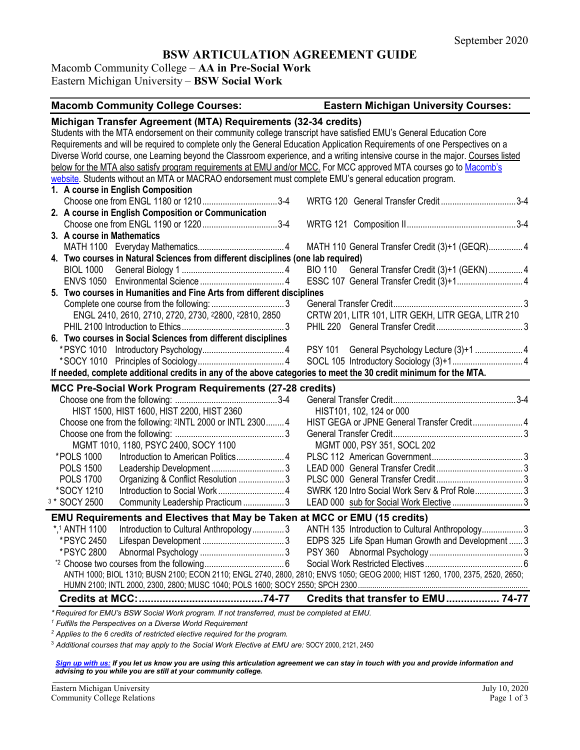# **BSW ARTICULATION AGREEMENT GUIDE**

Macomb Community College – **AA in Pre-Social Work** Eastern Michigan University – **BSW Social Work**

| <b>Macomb Community College Courses:</b>                                                                                        | <b>Eastern Michigan University Courses:</b>        |  |  |
|---------------------------------------------------------------------------------------------------------------------------------|----------------------------------------------------|--|--|
| Michigan Transfer Agreement (MTA) Requirements (32-34 credits)                                                                  |                                                    |  |  |
| Students with the MTA endorsement on their community college transcript have satisfied EMU's General Education Core             |                                                    |  |  |
| Requirements and will be required to complete only the General Education Application Requirements of one Perspectives on a      |                                                    |  |  |
| Diverse World course, one Learning beyond the Classroom experience, and a writing intensive course in the major. Courses listed |                                                    |  |  |
| below for the MTA also satisfy program requirements at EMU and/or MCC. For MCC approved MTA courses go to Macomb's              |                                                    |  |  |
| website. Students without an MTA or MACRAO endorsement must complete EMU's general education program.                           |                                                    |  |  |
| 1. A course in English Composition                                                                                              |                                                    |  |  |
| Choose one from ENGL 1180 or 12103-4                                                                                            | WRTG 120 General Transfer Credit3-4                |  |  |
| 2. A course in English Composition or Communication                                                                             |                                                    |  |  |
|                                                                                                                                 |                                                    |  |  |
| 3. A course in Mathematics                                                                                                      |                                                    |  |  |
|                                                                                                                                 | MATH 110 General Transfer Credit (3)+1 (GEQR) 4    |  |  |
| 4. Two courses in Natural Sciences from different disciplines (one lab required)                                                |                                                    |  |  |
|                                                                                                                                 | BIO 110 General Transfer Credit (3)+1 (GEKN)  4    |  |  |
|                                                                                                                                 |                                                    |  |  |
| 5. Two courses in Humanities and Fine Arts from different disciplines                                                           |                                                    |  |  |
|                                                                                                                                 |                                                    |  |  |
| ENGL 2410, 2610, 2710, 2720, 2730, 22800, 22810, 2850                                                                           | CRTW 201, LITR 101, LITR GEKH, LITR GEGA, LITR 210 |  |  |
|                                                                                                                                 |                                                    |  |  |
| 6. Two courses in Social Sciences from different disciplines                                                                    |                                                    |  |  |
|                                                                                                                                 |                                                    |  |  |
|                                                                                                                                 |                                                    |  |  |
| If needed, complete additional credits in any of the above categories to meet the 30 credit minimum for the MTA.                |                                                    |  |  |
| MCC Pre-Social Work Program Requirements (27-28 credits)                                                                        |                                                    |  |  |
|                                                                                                                                 |                                                    |  |  |
| HIST 1500, HIST 1600, HIST 2200, HIST 2360                                                                                      | HIST101, 102, 124 or 000                           |  |  |
| Choose one from the following: 2INTL 2000 or INTL 2300 4                                                                        | HIST GEGA or JPNE General Transfer Credit 4        |  |  |
|                                                                                                                                 |                                                    |  |  |
| MGMT 1010, 1180, PSYC 2400, SOCY 1100                                                                                           | MGMT 000, PSY 351, SOCL 202                        |  |  |
| *POLS 1000<br>Introduction to American Politics 4                                                                               |                                                    |  |  |
| <b>POLS 1500</b>                                                                                                                |                                                    |  |  |
| <b>POLS 1700</b><br>Organizing & Conflict Resolution  3                                                                         |                                                    |  |  |
| *SOCY 1210                                                                                                                      | SWRK 120 Intro Social Work Serv & Prof Role3       |  |  |
| 3 * SOCY 2500<br>Community Leadership Practicum  3                                                                              |                                                    |  |  |
| EMU Requirements and Electives that May be Taken at MCC or EMU (15 credits)                                                     |                                                    |  |  |
| *,1 ANTH 1100<br>Introduction to Cultural Anthropology3                                                                         | ANTH 135 Introduction to Cultural Anthropology3    |  |  |
| *PSYC 2450                                                                                                                      | EDPS 325 Life Span Human Growth and Development  3 |  |  |
| *PSYC 2800                                                                                                                      |                                                    |  |  |
|                                                                                                                                 |                                                    |  |  |
| ANTH 1000; BIOL 1310; BUSN 2100; ECON 2110; ENGL 2740, 2800, 2810; ENVS 1050; GEOG 2000; HIST 1260, 1700, 2375, 2520, 2650;     |                                                    |  |  |
|                                                                                                                                 |                                                    |  |  |
|                                                                                                                                 | Credits that transfer to EMU 74-77                 |  |  |
| *Required for EMU's BSW Social Work program. If not transferred, must be completed at EMU.                                      |                                                    |  |  |

*<sup>1</sup> Fulfills the Perspectives on a Diverse World Requirement*

*<sup>2</sup> Applies to the 6 credits of restricted elective required for the program.* 

<sup>3</sup> *Additional courses that may apply to the Social Work Elective at EMU are:* SOCY 2000, 2121, 2450

*[Sign up with us:](https://www.emich.edu/ccr/articulation-agreements/signup.php) If you let us know you are using this articulation agreement we can stay in touch with you and provide information and advising to you while you are still at your community college.*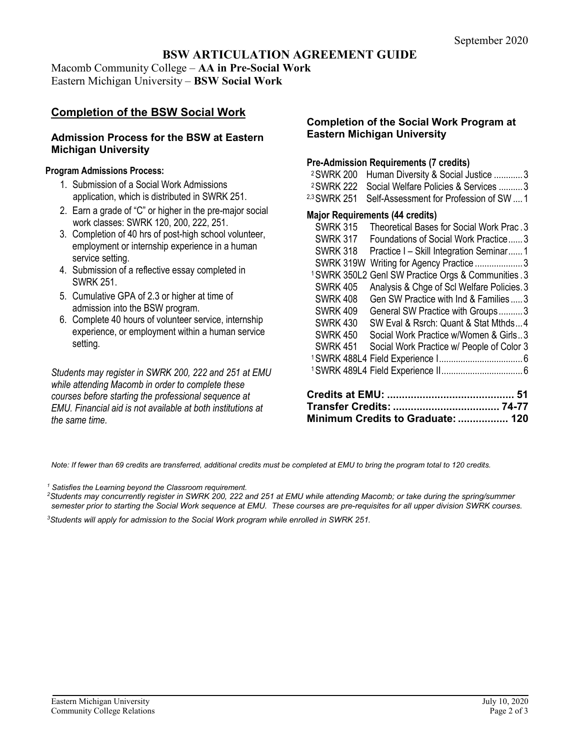## **BSW ARTICULATION AGREEMENT GUIDE**

Macomb Community College – **AA in Pre-Social Work** Eastern Michigan University – **BSW Social Work**

# **Completion of the BSW Social Work**

### **Admission Process for the BSW at Eastern Michigan University**

### **Program Admissions Process:**

- 1. Submission of a Social Work Admissions application, which is distributed in SWRK 251.
- 2. Earn a grade of "C" or higher in the pre-major social work classes: SWRK 120, 200, 222, 251.
- 3. Completion of 40 hrs of post-high school volunteer, employment or internship experience in a human service setting.
- 4. Submission of a reflective essay completed in SWRK 251.
- 5. Cumulative GPA of 2.3 or higher at time of admission into the BSW program.
- 6. Complete 40 hours of volunteer service, internship experience, or employment within a human service setting.

*Students may register in SWRK 200, 222 and 251 at EMU while attending Macomb in order to complete these courses before starting the professional sequence at EMU. Financial aid is not available at both institutions at the same time.*

### **Completion of the Social Work Program at Eastern Michigan University**

### **Pre-Admission Requirements (7 credits)**

| <sup>2</sup> SWRK 200 Human Diversity & Social Justice 3    |  |
|-------------------------------------------------------------|--|
| <sup>2</sup> SWRK 222 Social Welfare Policies & Services  3 |  |

2,3SWRK 251 Self-Assessment for Profession of SW ....1

#### **Major Requirements (44 credits)**

| <b>SWRK 315</b>         | Theoretical Bases for Social Work Prac. 3         |
|-------------------------|---------------------------------------------------|
| <b>SWRK 317</b>         | Foundations of Social Work Practice3              |
| <b>SWRK 318</b>         | Practice I - Skill Integration Seminar1           |
| SWRK 319W               | Writing for Agency Practice3                      |
| <sup>1</sup> SWRK 350L2 | <b>Genl SW Practice Orgs &amp; Communities .3</b> |
| <b>SWRK 405</b>         | Analysis & Chge of Scl Welfare Policies. 3        |
| <b>SWRK 408</b>         | Gen SW Practice with Ind & Families  3            |
| <b>SWRK 409</b>         | General SW Practice with Groups3                  |
| <b>SWRK 430</b>         | SW Eval & Rsrch: Quant & Stat Mthds4              |
| <b>SWRK 450</b>         | Social Work Practice w/Women & Girls3             |
| <b>SWRK 451</b>         | Social Work Practice w/ People of Color 3         |
|                         |                                                   |
|                         |                                                   |
|                         | 51                                                |

| Minimum Credits to Graduate:  120 |  |
|-----------------------------------|--|

*Note: If fewer than 69 credits are transferred, additional credits must be completed at EMU to bring the program total to 120 credits.*

*<sup>1</sup> Satisfies the Learning beyond the Classroom requirement.*

*2Students may concurrently register in SWRK 200, 222 and 251 at EMU while attending Macomb; or take during the spring/summer semester prior to starting the Social Work sequence at EMU. These courses are pre-requisites for all upper division SWRK courses.*

*3Students will apply for admission to the Social Work program while enrolled in SWRK 251.*